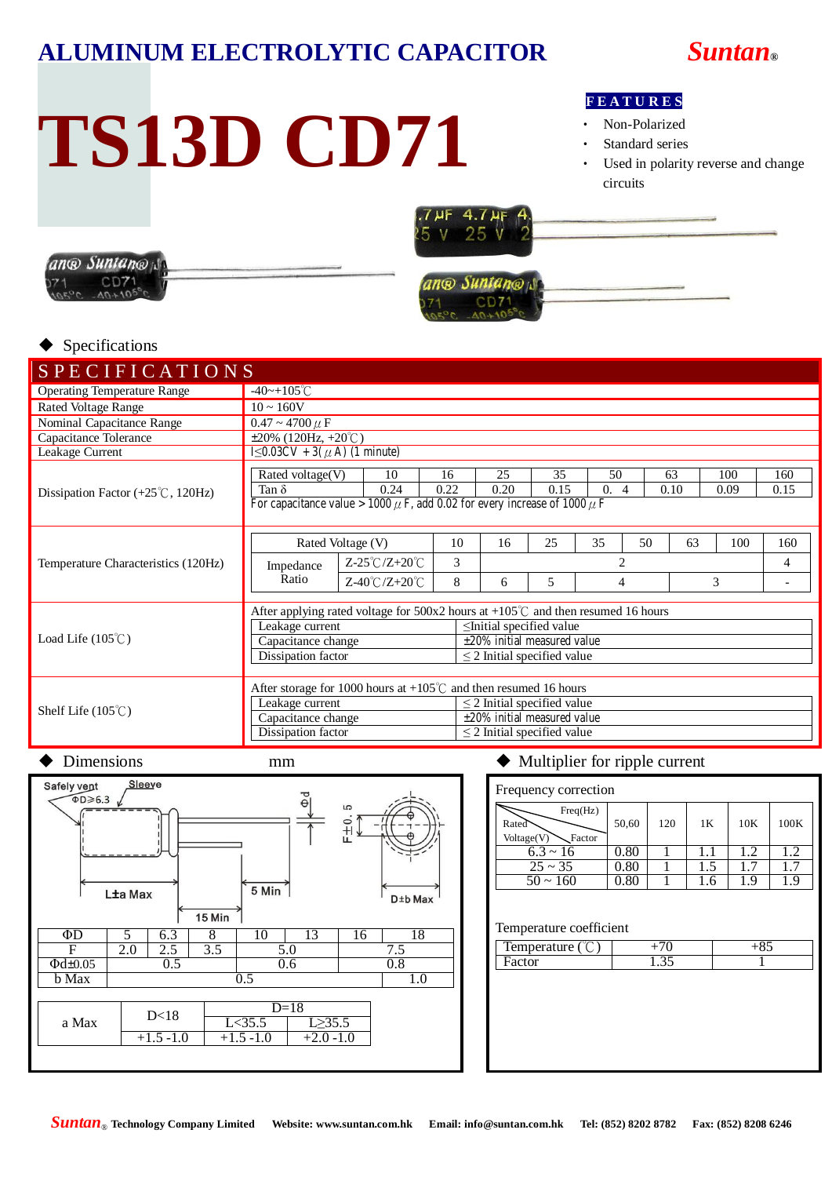## **ALUMINUM ELECTROLYTIC CAPACITOR** *Suntan***®**

# **TS13D CD71**

### **F E A T U R E S**

- Non-Polarized
- Standard series
- Used in polarity reverse and change circuits





## ang Suntang

#### Specifications

| <b>SPECIFICATIONS</b>                                    |                                                                                                                                                                                                                                                                  |                                     |            |                                                                                                     |                                          |            |             |             |                          |
|----------------------------------------------------------|------------------------------------------------------------------------------------------------------------------------------------------------------------------------------------------------------------------------------------------------------------------|-------------------------------------|------------|-----------------------------------------------------------------------------------------------------|------------------------------------------|------------|-------------|-------------|--------------------------|
| <b>Operating Temperature Range</b>                       | $-40$ ~+105°C                                                                                                                                                                                                                                                    |                                     |            |                                                                                                     |                                          |            |             |             |                          |
| <b>Rated Voltage Range</b>                               | $10 \sim 160V$                                                                                                                                                                                                                                                   |                                     |            |                                                                                                     |                                          |            |             |             |                          |
| Nominal Capacitance Range                                | $0.47 \sim 4700 \mu F$                                                                                                                                                                                                                                           |                                     |            |                                                                                                     |                                          |            |             |             |                          |
| Capacitance Tolerance                                    |                                                                                                                                                                                                                                                                  | $\pm 20\%$ (120Hz, $+20^{\circ}$ C) |            |                                                                                                     |                                          |            |             |             |                          |
| Leakage Current                                          |                                                                                                                                                                                                                                                                  | $1≤0.03CV + 3(μ A) (1 minute)$      |            |                                                                                                     |                                          |            |             |             |                          |
| Dissipation Factor $(+25^{\circ}\text{C}, 120\text{Hz})$ | Rated voltage(V)<br>Tan $\delta$<br>For capacitance value > 1000 $\mu$ F, add 0.02 for every increase of 1000 $\mu$ F                                                                                                                                            | 16<br>0.22                          | 25<br>0.20 | 35<br>0.15                                                                                          | 50<br>$\overline{0}$ .<br>$\overline{4}$ | 63<br>0.10 | 100<br>0.09 | 160<br>0.15 |                          |
|                                                          |                                                                                                                                                                                                                                                                  |                                     |            | 16                                                                                                  | 25                                       | 35         | 50<br>63    | 100         |                          |
|                                                          | Rated Voltage (V)                                                                                                                                                                                                                                                | 10                                  |            |                                                                                                     |                                          |            |             | 160         |                          |
| Temperature Characteristics (120Hz)                      | Impedance                                                                                                                                                                                                                                                        | $Z-25^{\circ}C/Z+20^{\circ}C$       | 3          |                                                                                                     | $\overline{2}$                           |            |             |             | 4                        |
|                                                          | Ratio                                                                                                                                                                                                                                                            | $Z-40^{\circ}C/Z+20^{\circ}C$       | 8          | 6                                                                                                   | 5                                        | 4          |             | 3           | $\overline{\phantom{a}}$ |
| Load Life $(105^{\circ}C)$                               | After applying rated voltage for $500x2$ hours at $+105^{\circ}$ and then resumed 16 hours<br>Leakage current<br>$\le$ Initial specified value<br>$±20\%$ initial measured value<br>Capacitance change<br>Dissipation factor<br>$\leq$ 2 Initial specified value |                                     |            |                                                                                                     |                                          |            |             |             |                          |
| Shelf Life $(105^{\circ}C)$                              | After storage for 1000 hours at $+105^{\circ}$ and then resumed 16 hours<br>Leakage current<br>Capacitance change<br>Dissipation factor                                                                                                                          |                                     |            | $\leq$ 2 Initial specified value<br>±20% initial measured value<br>$\leq$ 2 Initial specified value |                                          |            |             |             |                          |



#### Dimensions mm  $\bullet$  Multiplier for ripple current

| Frequency correction                      |       |     |     |     |      |  |  |  |
|-------------------------------------------|-------|-----|-----|-----|------|--|--|--|
| Freq(Hz)<br>Rated<br>Voltage(V)<br>Factor | 50,60 | 120 | 1 K | 10K | 100K |  |  |  |
| $6.3 \sim 16$                             | 0.80  |     |     | 1.2 | 1.2  |  |  |  |
| $25 \sim 35$                              | 0.80  |     | 1.5 |     | 17   |  |  |  |
| $50 \sim 160$                             | 0.80  |     | L.6 | ΙY  |      |  |  |  |
|                                           |       |     |     |     |      |  |  |  |

#### Temperature coefficient

| Temperature | . . |
|-------------|-----|
|             |     |